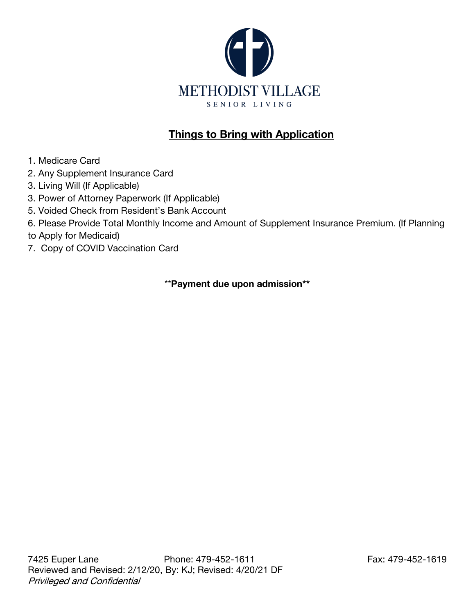

# Things to Bring with Application

- 1. Medicare Card
- 2. Any Supplement Insurance Card
- 3. Living Will (If Applicable)
- 3. Power of Attorney Paperwork (If Applicable)
- 5. Voided Check from Resident's Bank Account
- 6. Please Provide Total Monthly Income and Amount of Supplement Insurance Premium. (If Planning
- to Apply for Medicaid)
- 7. Copy of COVID Vaccination Card

\*\*Payment due upon admission\*\*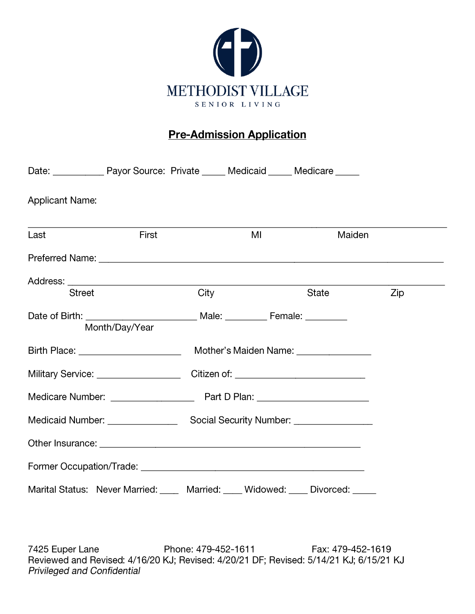

# **Pre-Admission Application**

| Date: ______________ Payor Source: Private ______ Medicaid _____ Medicare _____ |                |      |    |                                             |     |
|---------------------------------------------------------------------------------|----------------|------|----|---------------------------------------------|-----|
| <b>Applicant Name:</b>                                                          |                |      |    |                                             |     |
| Last                                                                            | First          |      | MI | Maiden                                      |     |
|                                                                                 |                |      |    |                                             |     |
|                                                                                 |                |      |    |                                             |     |
| <b>Street</b>                                                                   |                | City |    | State                                       | Zip |
|                                                                                 |                |      |    |                                             |     |
|                                                                                 | Month/Day/Year |      |    |                                             |     |
| Birth Place: <u>________________________</u>                                    |                |      |    | Mother's Maiden Name: <u>[111] Mother's</u> |     |
|                                                                                 |                |      |    |                                             |     |
|                                                                                 |                |      |    |                                             |     |
|                                                                                 |                |      |    |                                             |     |
|                                                                                 |                |      |    |                                             |     |
|                                                                                 |                |      |    |                                             |     |
| Marital Status: Never Married: Married: Widowed: Divorced: Divorced:            |                |      |    |                                             |     |

7425 Euper Lane Phone: 479-452-1611 Fax: 479-452-1619 Reviewed and Revised: 4/16/20 KJ; Revised: 4/20/21 DF; Revised: 5/14/21 KJ; 6/15/21 KJ **Privileged and Confidential**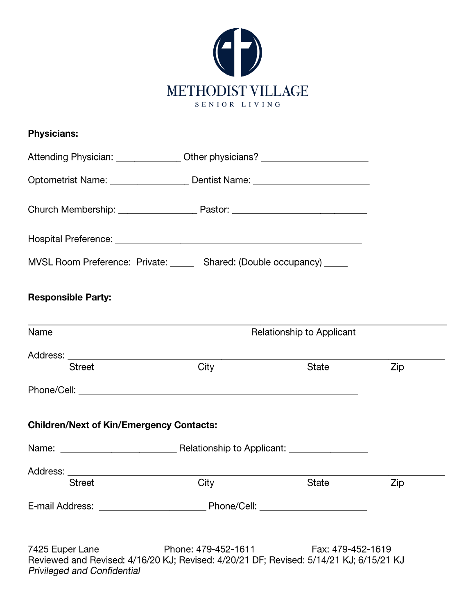

| <b>Physicians:</b>                                                                                                            |                     |                                  |     |
|-------------------------------------------------------------------------------------------------------------------------------|---------------------|----------------------------------|-----|
| Attending Physician: _________________ Other physicians? _______________________                                              |                     |                                  |     |
| Optometrist Name: __________________________ Dentist Name: _____________________                                              |                     |                                  |     |
|                                                                                                                               |                     |                                  |     |
|                                                                                                                               |                     |                                  |     |
| MVSL Room Preference: Private: ______ Shared: (Double occupancy) _____                                                        |                     |                                  |     |
| <b>Responsible Party:</b>                                                                                                     |                     |                                  |     |
| <u> 1989 - Johann Stoff, deutscher Stoff, der Stoff, der Stoff, der Stoff, der Stoff, der Stoff, der Stoff, der S</u><br>Name |                     | <b>Relationship to Applicant</b> |     |
|                                                                                                                               |                     |                                  |     |
| <b>Street</b>                                                                                                                 | City                | State                            | Zip |
|                                                                                                                               |                     |                                  |     |
| <b>Children/Next of Kin/Emergency Contacts:</b>                                                                               |                     |                                  |     |
|                                                                                                                               |                     |                                  |     |
| Address:                                                                                                                      |                     |                                  |     |
| <b>Street</b>                                                                                                                 | City                | <b>State</b>                     | Zip |
|                                                                                                                               |                     |                                  |     |
| 7425 Euper Lane<br>Reviewed and Revised: 4/16/20 KJ; Revised: 4/20/21 DF; Revised: 5/14/21 KJ; 6/15/21 KJ                     | Phone: 479-452-1611 | Fax: 479-452-1619                |     |

Privileged and Confidential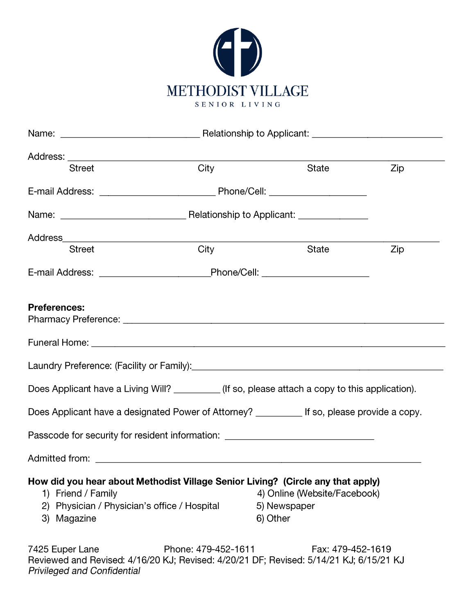

| Address: ________________________________                                         |                                                                                                                 |                                                          |     |  |
|-----------------------------------------------------------------------------------|-----------------------------------------------------------------------------------------------------------------|----------------------------------------------------------|-----|--|
| <b>Street</b>                                                                     | City                                                                                                            | State                                                    | Zip |  |
|                                                                                   |                                                                                                                 |                                                          |     |  |
|                                                                                   |                                                                                                                 |                                                          |     |  |
|                                                                                   |                                                                                                                 |                                                          |     |  |
| <b>Street</b>                                                                     | City                                                                                                            | State                                                    | Zip |  |
|                                                                                   |                                                                                                                 |                                                          |     |  |
| <b>Preferences:</b>                                                               |                                                                                                                 |                                                          |     |  |
|                                                                                   |                                                                                                                 |                                                          |     |  |
|                                                                                   | Laundry Preference: (Facility or Family): \\connection \\connection \\connection \\connection \\connection \\co |                                                          |     |  |
|                                                                                   | Does Applicant have a Living Will? _________(If so, please attach a copy to this application).                  |                                                          |     |  |
|                                                                                   | Does Applicant have a designated Power of Attorney? _________ If so, please provide a copy.                     |                                                          |     |  |
|                                                                                   | Passcode for security for resident information: ________________________________                                |                                                          |     |  |
|                                                                                   |                                                                                                                 |                                                          |     |  |
| 1) Friend / Family<br>2) Physician / Physician's office / Hospital<br>3) Magazine | How did you hear about Methodist Village Senior Living? (Circle any that apply)                                 | 4) Online (Website/Facebook)<br>5) Newspaper<br>6) Other |     |  |
| 7425 Funer Lane                                                                   | $Phona: 479-452-1611$                                                                                           | $Fay: 479 - 452 - 1619$                                  |     |  |

7425 Euper Lane Fax: 479-452-1611 Fax: 479-452-1619<br>Reviewed and Revised: 4/16/20 KJ; Revised: 4/20/21 DF; Revised: 5/14/21 KJ; 6/15/21 KJ **Privileged and Confidential**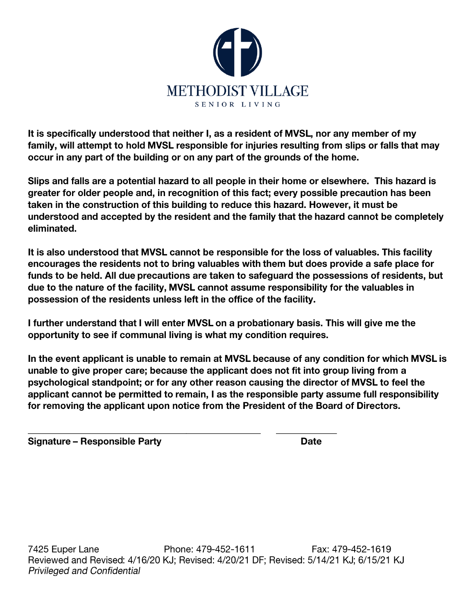

It is specifically understood that neither I, as a resident of MVSL, nor any member of my family, will attempt to hold MVSL responsible for injuries resulting from slips or falls that may occur in any part of the building or on any part of the grounds of the home.

Slips and falls are a potential hazard to all people in their home or elsewhere. This hazard is greater for older people and, in recognition of this fact; every possible precaution has been taken in the construction of this building to reduce this hazard. However, it must be understood and accepted by the resident and the family that the hazard cannot be completely eliminated.

It is also understood that MVSL cannot be responsible for the loss of valuables. This facility encourages the residents not to bring valuables with them but does provide a safe place for funds to be held. All due precautions are taken to safeguard the possessions of residents, but due to the nature of the facility, MVSL cannot assume responsibility for the valuables in possession of the residents unless left in the office of the facility.

I further understand that I will enter MVSL on a probationary basis. This will give me the opportunity to see if communal living is what my condition requires.

In the event applicant is unable to remain at MVSL because of any condition for which MVSL is unable to give proper care; because the applicant does not fit into group living from a psychological standpoint; or for any other reason causing the director of MVSL to feel the applicant cannot be permitted to remain, I as the responsible party assume full responsibility for removing the applicant upon notice from the President of the Board of Directors.

Signature - Responsible Party

**Date**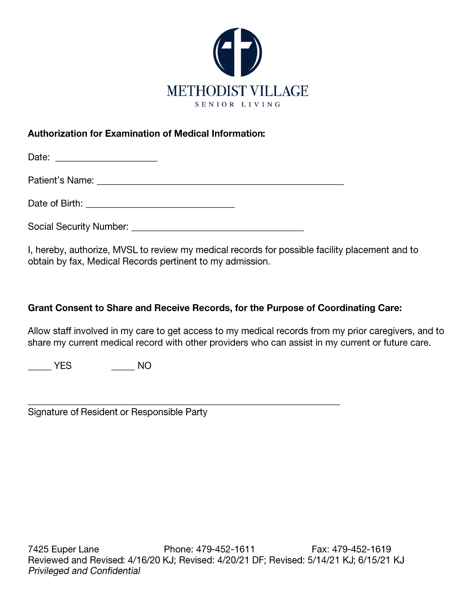

## **Authorization for Examination of Medical Information:**

Date of Birth: <u>Contract of Birth:</u>

I, hereby, authorize, MVSL to review my medical records for possible facility placement and to obtain by fax, Medical Records pertinent to my admission.

# Grant Consent to Share and Receive Records, for the Purpose of Coordinating Care:

Allow staff involved in my care to get access to my medical records from my prior caregivers, and to share my current medical record with other providers who can assist in my current or future care.

 $\frac{1}{2}$  YES 

Signature of Resident or Responsible Party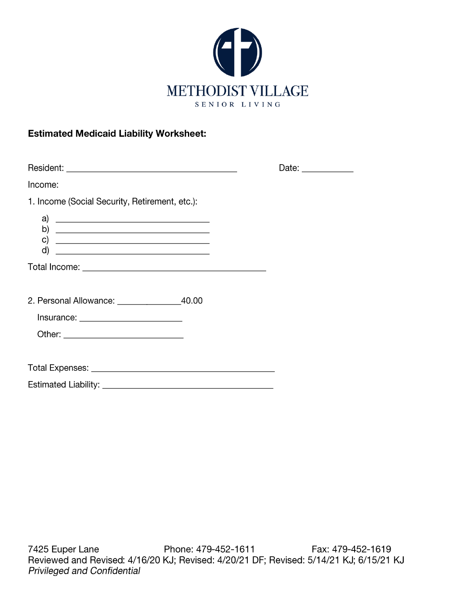

## **Estimated Medicaid Liability Worksheet:**

|                                                                                                                                                                                                                                                                                                                                                                                         | Date: $\_\_$ |
|-----------------------------------------------------------------------------------------------------------------------------------------------------------------------------------------------------------------------------------------------------------------------------------------------------------------------------------------------------------------------------------------|--------------|
| Income:                                                                                                                                                                                                                                                                                                                                                                                 |              |
| 1. Income (Social Security, Retirement, etc.):                                                                                                                                                                                                                                                                                                                                          |              |
| a)<br><u> Alexandria de la contrada de la contrada de la contrada de la contrada de la contrada de la contrada de la c</u><br>C)<br><u> Alexandria de la contrada de la contrada de la contrada de la contrada de la contrada de la contrada de la c</u><br>d)<br><u> 1999 - Johann Harry Harry Harry Harry Harry Harry Harry Harry Harry Harry Harry Harry Harry Harry Harry Harry</u> |              |
|                                                                                                                                                                                                                                                                                                                                                                                         |              |
|                                                                                                                                                                                                                                                                                                                                                                                         |              |
|                                                                                                                                                                                                                                                                                                                                                                                         |              |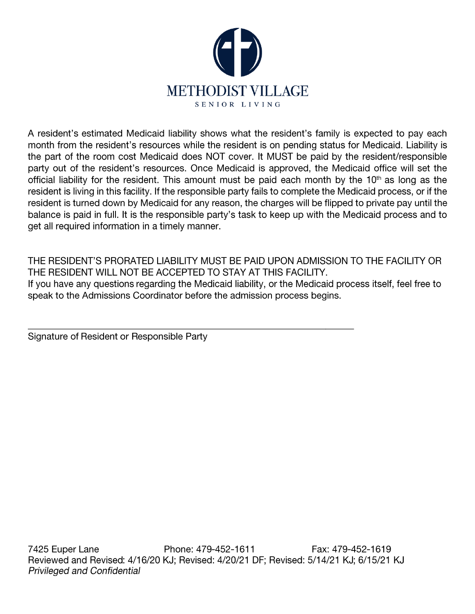

A resident's estimated Medicaid liability shows what the resident's family is expected to pay each month from the resident's resources while the resident is on pending status for Medicaid. Liability is the part of the room cost Medicaid does NOT cover. It MUST be paid by the resident/responsible party out of the resident's resources. Once Medicaid is approved, the Medicaid office will set the official liability for the resident. This amount must be paid each month by the 10<sup>th</sup> as long as the resident is living in this facility. If the responsible party fails to complete the Medicaid process, or if the resident is turned down by Medicaid for any reason, the charges will be flipped to private pay until the balance is paid in full. It is the responsible party's task to keep up with the Medicaid process and to get all required information in a timely manner.

THE RESIDENT'S PRORATED LIABILITY MUST BE PAID UPON ADMISSION TO THE FACILITY OR THE RESIDENT WILL NOT BE ACCEPTED TO STAY AT THIS FACILITY. If you have any questions regarding the Medicaid liability, or the Medicaid process itself, feel free to speak to the Admissions Coordinator before the admission process begins.

Signature of Resident or Responsible Party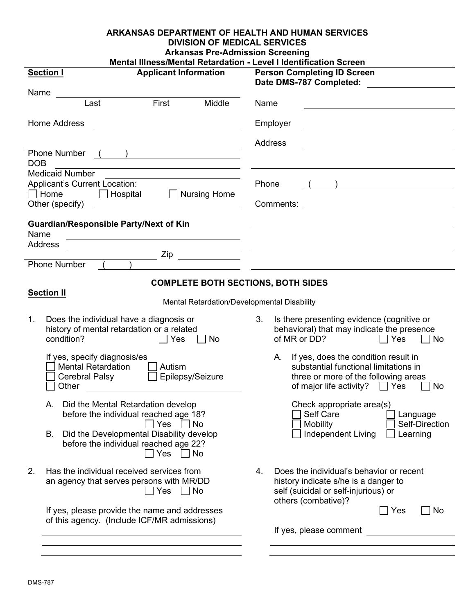| <b>ARKANSAS DEPARTMENT OF HEALTH AND HUMAN SERVICES</b><br><b>DIVISION OF MEDICAL SERVICES</b><br><b>Arkansas Pre-Admission Screening</b>       |                                                                                                                                                                              |  |  |  |
|-------------------------------------------------------------------------------------------------------------------------------------------------|------------------------------------------------------------------------------------------------------------------------------------------------------------------------------|--|--|--|
| Mental Illness/Mental Retardation - Level I Identification Screen                                                                               |                                                                                                                                                                              |  |  |  |
| <b>Applicant Information</b><br><b>Section I</b>                                                                                                | <b>Person Completing ID Screen</b><br>Date DMS-787 Completed:                                                                                                                |  |  |  |
| Name<br>First<br>Last<br>Middle                                                                                                                 | Name<br><u> 1989 - Johann Barbara, martxa alemaniar amerikan basar da da a shekara a shekara a shekara a shekara a shekar</u>                                                |  |  |  |
| Home Address<br><u> 1980 - Johann Barn, mars ann an t-Amhain Aonaich an t-Aonaich an t-Aonaich ann an t-Aonaich ann an t-Aonaich</u>            | Employer<br><u> 1989 - Johann Barn, mars ann an t-Amhain Aonaich an t-Aonaich an t-Aonaich ann an t-Aonaich ann an t-Aonaich</u>                                             |  |  |  |
|                                                                                                                                                 | Address                                                                                                                                                                      |  |  |  |
| Phone Number ( )<br><b>DOB</b><br><u> 1989 - Andrea Brand, amerikansk politik (d. 1989)</u>                                                     |                                                                                                                                                                              |  |  |  |
| <b>Medicaid Number</b><br><u> 1980 - Johann Barn, mars ann an t-Amhain Aonaichte ann an t-Amhain Aonaichte ann an t-Amhain Aonaichte ann an</u> |                                                                                                                                                                              |  |  |  |
| <b>Applicant's Current Location:</b><br>$\Box$ Home $\Box$ Hospital $\Box$ Nursing Home<br>Other (specify)                                      | Phone<br>Comments:                                                                                                                                                           |  |  |  |
| <b>Guardian/Responsible Party/Next of Kin</b>                                                                                                   |                                                                                                                                                                              |  |  |  |
| Name<br><u> 1989 - Johann Stoff, Amerikaansk politiker (</u><br><b>Address</b>                                                                  |                                                                                                                                                                              |  |  |  |
| <u> 1989 - Johann Barnett, fransk politik (f. 1989)</u><br>$\overline{Zip}$                                                                     | <u> 1989 - Andrea Stadt Britain, amerikansk politik (</u>                                                                                                                    |  |  |  |
| <b>Phone Number</b>                                                                                                                             |                                                                                                                                                                              |  |  |  |
| <b>COMPLETE BOTH SECTIONS, BOTH SIDES</b>                                                                                                       |                                                                                                                                                                              |  |  |  |
| <b>Section II</b><br>Mental Retardation/Developmental Disability                                                                                |                                                                                                                                                                              |  |  |  |
| 1.<br>Does the individual have a diagnosis or<br>history of mental retardation or a related<br>condition?<br>$\Box$ No<br>$\Box$ Yes            | 3.<br>Is there presenting evidence (cognitive or<br>behavioral) that may indicate the presence<br>of MR or DD?<br>$\Box$ Yes<br>$\Box$ No                                    |  |  |  |
| If yes, specify diagnosis/es<br><b>Mental Retardation</b><br>Autism<br>□ Epilepsy/Seizure<br>$\Box$ Cerebral Palsy<br>Other                     | A. If yes, does the condition result in<br>substantial functional limitations in<br>three or more of the following areas<br>of major life activity?<br>$\sqsupset$ Yes<br>No |  |  |  |
| Did the Mental Retardation develop<br>А.<br>before the individual reached age 18?<br>Yes<br>No                                                  | Check appropriate area(s)<br>Self Care<br>Language<br>Self-Direction                                                                                                         |  |  |  |
| Did the Developmental Disability develop<br>В.<br>before the individual reached age 22?<br>Yes<br>No                                            | <b>Mobility</b><br><b>Independent Living</b><br>Learning                                                                                                                     |  |  |  |
| 2.<br>Has the individual received services from<br>an agency that serves persons with MR/DD<br>Yes<br>No                                        | Does the individual's behavior or recent<br>4.<br>history indicate s/he is a danger to<br>self (suicidal or self-injurious) or<br>others (combative)?                        |  |  |  |
| If yes, please provide the name and addresses<br>of this agency. (Include ICF/MR admissions)                                                    | Yes<br>  No<br>If yes, please comment                                                                                                                                        |  |  |  |
|                                                                                                                                                 |                                                                                                                                                                              |  |  |  |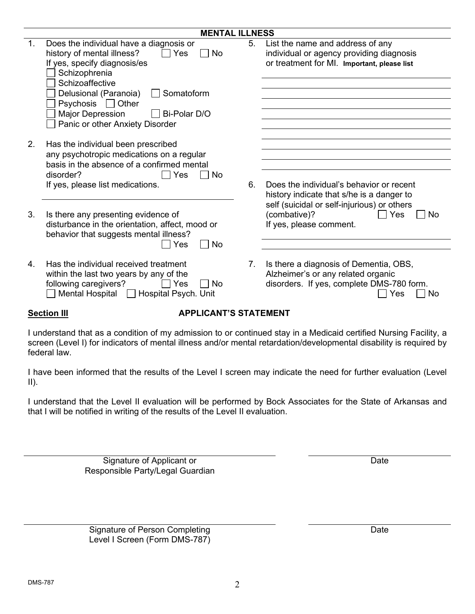| history of mental illness?<br>Yes<br>No<br>If yes, specify diagnosis/es<br>Schizophrenia<br>Schizoaffective<br>Delusional (Paranoia)<br>Somatoform<br>Psychosis □ Other<br><b>Major Depression</b><br>Bi-Polar D/O<br>Panic or other Anxiety Disorder |                                         | List the name and address of any<br>individual or agency providing diagnosis<br>or treatment for MI. Important, please list                      |
|-------------------------------------------------------------------------------------------------------------------------------------------------------------------------------------------------------------------------------------------------------|-----------------------------------------|--------------------------------------------------------------------------------------------------------------------------------------------------|
| Has the individual been prescribed<br>any psychotropic medications on a regular<br>basis in the absence of a confirmed mental<br>disorder?<br>Yes<br>No<br>If yes, please list medications.                                                           | 6.                                      | Does the individual's behavior or recent                                                                                                         |
| Is there any presenting evidence of<br>disturbance in the orientation, affect, mood or<br>behavior that suggests mental illness?<br>No<br>Yes                                                                                                         |                                         | history indicate that s/he is a danger to<br>self (suicidal or self-injurious) or others<br>(combative)?<br>Yes<br>No<br>If yes, please comment. |
| Has the individual received treatment<br>within the last two years by any of the<br>following caregivers?<br>Yes<br>No<br>Mental Hospital<br>Hospital Psych. Unit                                                                                     | 7.                                      | Is there a diagnosis of Dementia, OBS,<br>Alzheimer's or any related organic<br>disorders. If yes, complete DMS-780 form.<br>No<br>Yes           |
|                                                                                                                                                                                                                                                       | Does the individual have a diagnosis or | 5.                                                                                                                                               |

**MENTAL ILLNESS**

#### **Section III APPLICANT'S STATEMENT**

I understand that as a condition of my admission to or continued stay in a Medicaid certified Nursing Facility, a screen (Level I) for indicators of mental illness and/or mental retardation/developmental disability is required by federal law.

I have been informed that the results of the Level I screen may indicate the need for further evaluation (Level  $II$ ).

I understand that the Level II evaluation will be performed by Bock Associates for the State of Arkansas and that I will be notified in writing of the results of the Level II evaluation.

> Signature of Applicant or **Date** Responsible Party/Legal Guardian

Signature of Person Completing Date Date Level I Screen (Form DMS-787)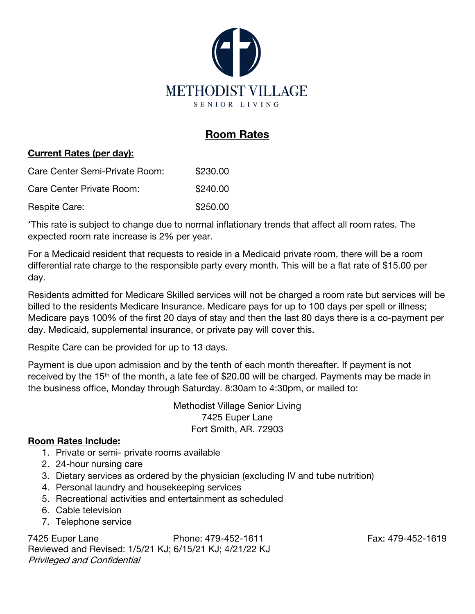

# Room Rates

#### Current Rates (per day):

| Care Center Semi-Private Room: | \$230.00 |
|--------------------------------|----------|
| Care Center Private Room:      | \$240.00 |
| Respite Care:                  | \$250.00 |

\*This rate is subject to change due to normal inflationary trends that affect all room rates. The expected room rate increase is 2% per year.

For a Medicaid resident that requests to reside in a Medicaid private room, there will be a room differential rate charge to the responsible party every month. This will be a flat rate of \$15.00 per day.

Residents admitted for Medicare Skilled services will not be charged a room rate but services will be billed to the residents Medicare Insurance. Medicare pays for up to 100 days per spell or illness; Medicare pays 100% of the first 20 days of stay and then the last 80 days there is a co-payment per day. Medicaid, supplemental insurance, or private pay will cover this.

Respite Care can be provided for up to 13 days.

Payment is due upon admission and by the tenth of each month thereafter. If payment is not received by the 15<sup>th</sup> of the month, a late fee of \$20.00 will be charged. Payments may be made in the business office, Monday through Saturday. 8:30am to 4:30pm, or mailed to:

> Methodist Village Senior Living 7425 Euper Lane Fort Smith, AR. 72903

### Room Rates Include:

- 1. Private or semi- private rooms available
- 2. 24-hour nursing care
- 3. Dietary services as ordered by the physician (excluding IV and tube nutrition)
- 4. Personal laundry and housekeeping services
- 5. Recreational activities and entertainment as scheduled
- 6. Cable television
- 7. Telephone service

7425 Euper Lane Phone: 479-452-1611 Fax: 479-452-1619 Reviewed and Revised: 1/5/21 KJ; 6/15/21 KJ; 4/21/22 KJ Privileged and Confidential